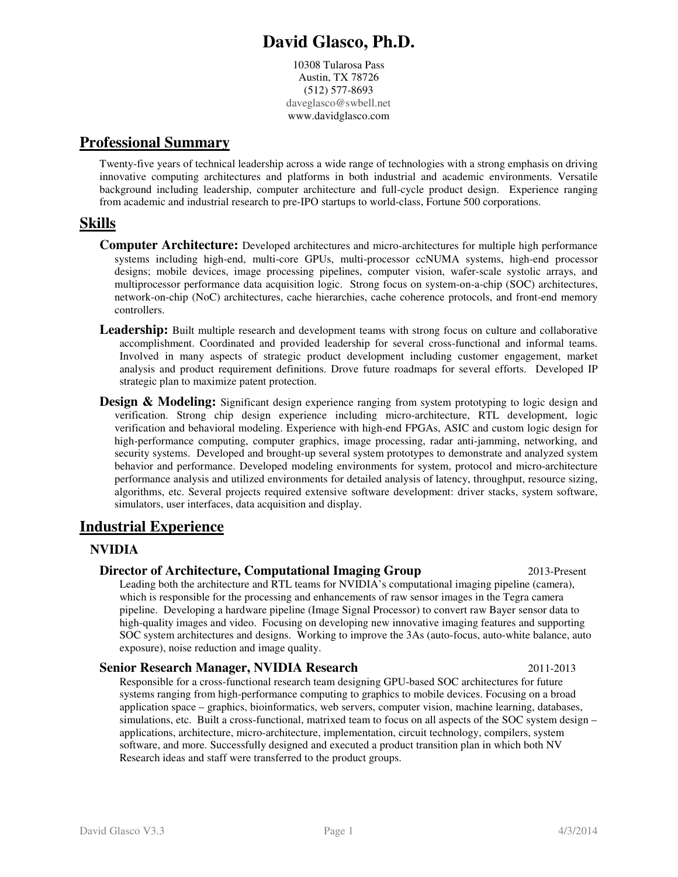# **David Glasco, Ph.D.**

10308 Tularosa Pass Austin, TX 78726 (512) 577-8693 daveglasco@swbell.net www.davidglasco.com

# **Professional Summary**

Twenty-five years of technical leadership across a wide range of technologies with a strong emphasis on driving innovative computing architectures and platforms in both industrial and academic environments. Versatile background including leadership, computer architecture and full-cycle product design. Experience ranging from academic and industrial research to pre-IPO startups to world-class, Fortune 500 corporations.

# **Skills**

- **Computer Architecture:** Developed architectures and micro-architectures for multiple high performance systems including high-end, multi-core GPUs, multi-processor ccNUMA systems, high-end processor designs; mobile devices, image processing pipelines, computer vision, wafer-scale systolic arrays, and multiprocessor performance data acquisition logic. Strong focus on system-on-a-chip (SOC) architectures, network-on-chip (NoC) architectures, cache hierarchies, cache coherence protocols, and front-end memory controllers.
- **Leadership:** Built multiple research and development teams with strong focus on culture and collaborative accomplishment. Coordinated and provided leadership for several cross-functional and informal teams. Involved in many aspects of strategic product development including customer engagement, market analysis and product requirement definitions. Drove future roadmaps for several efforts. Developed IP strategic plan to maximize patent protection.
- **Design & Modeling:** Significant design experience ranging from system prototyping to logic design and verification. Strong chip design experience including micro-architecture, RTL development, logic verification and behavioral modeling. Experience with high-end FPGAs, ASIC and custom logic design for high-performance computing, computer graphics, image processing, radar anti-jamming, networking, and security systems. Developed and brought-up several system prototypes to demonstrate and analyzed system behavior and performance. Developed modeling environments for system, protocol and micro-architecture performance analysis and utilized environments for detailed analysis of latency, throughput, resource sizing, algorithms, etc. Several projects required extensive software development: driver stacks, system software, simulators, user interfaces, data acquisition and display.

# **Industrial Experience**

### **NVIDIA**

#### **Director of Architecture, Computational Imaging Group 1996 100 2013-Present**

Leading both the architecture and RTL teams for NVIDIA's computational imaging pipeline (camera), which is responsible for the processing and enhancements of raw sensor images in the Tegra camera pipeline. Developing a hardware pipeline (Image Signal Processor) to convert raw Bayer sensor data to high-quality images and video. Focusing on developing new innovative imaging features and supporting SOC system architectures and designs. Working to improve the 3As (auto-focus, auto-white balance, auto exposure), noise reduction and image quality.

#### **Senior Research Manager, NVIDIA Research** 2011-2013

Responsible for a cross-functional research team designing GPU-based SOC architectures for future systems ranging from high-performance computing to graphics to mobile devices. Focusing on a broad application space – graphics, bioinformatics, web servers, computer vision, machine learning, databases, simulations, etc. Built a cross-functional, matrixed team to focus on all aspects of the SOC system design – applications, architecture, micro-architecture, implementation, circuit technology, compilers, system software, and more. Successfully designed and executed a product transition plan in which both NV Research ideas and staff were transferred to the product groups.

David Glasco V3.3 Page 1 4/3/2014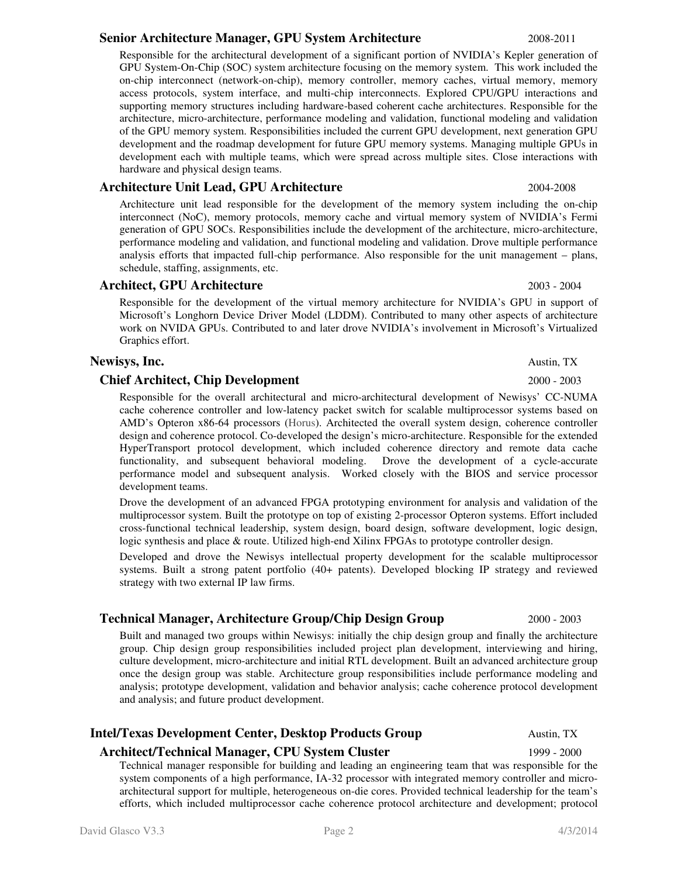#### David Glasco V3.3 Page 2 4/3/2014

#### **Senior Architecture Manager, GPU System Architecture** 2008-2011

Responsible for the architectural development of a significant portion of NVIDIA's Kepler generation of GPU System-On-Chip (SOC) system architecture focusing on the memory system. This work included the on-chip interconnect (network-on-chip), memory controller, memory caches, virtual memory, memory access protocols, system interface, and multi-chip interconnects. Explored CPU/GPU interactions and supporting memory structures including hardware-based coherent cache architectures. Responsible for the architecture, micro-architecture, performance modeling and validation, functional modeling and validation of the GPU memory system. Responsibilities included the current GPU development, next generation GPU development and the roadmap development for future GPU memory systems. Managing multiple GPUs in development each with multiple teams, which were spread across multiple sites. Close interactions with hardware and physical design teams.

#### **Architecture Unit Lead, GPU Architecture** 2004-2008

Architecture unit lead responsible for the development of the memory system including the on-chip interconnect (NoC), memory protocols, memory cache and virtual memory system of NVIDIA's Fermi generation of GPU SOCs. Responsibilities include the development of the architecture, micro-architecture, performance modeling and validation, and functional modeling and validation. Drove multiple performance analysis efforts that impacted full-chip performance. Also responsible for the unit management – plans, schedule, staffing, assignments, etc.

#### **Architect, GPU Architecture** 2003 - 2004

Responsible for the development of the virtual memory architecture for NVIDIA's GPU in support of Microsoft's Longhorn Device Driver Model (LDDM). Contributed to many other aspects of architecture work on NVIDA GPUs. Contributed to and later drove NVIDIA's involvement in Microsoft's Virtualized Graphics effort.

#### **Newisys, Inc. Austin, TX Austin, TX**

#### **Chief Architect, Chip Development** 2000 - 2003

Responsible for the overall architectural and micro-architectural development of Newisys' CC-NUMA cache coherence controller and low-latency packet switch for scalable multiprocessor systems based on AMD's Opteron x86-64 processors (Horus). Architected the overall system design, coherence controller design and coherence protocol. Co-developed the design's micro-architecture. Responsible for the extended HyperTransport protocol development, which included coherence directory and remote data cache functionality, and subsequent behavioral modeling. Drove the development of a cycle-accurate performance model and subsequent analysis. Worked closely with the BIOS and service processor development teams.

Drove the development of an advanced FPGA prototyping environment for analysis and validation of the multiprocessor system. Built the prototype on top of existing 2-processor Opteron systems. Effort included cross-functional technical leadership, system design, board design, software development, logic design, logic synthesis and place & route. Utilized high-end Xilinx FPGAs to prototype controller design.

Developed and drove the Newisys intellectual property development for the scalable multiprocessor systems. Built a strong patent portfolio (40+ patents). Developed blocking IP strategy and reviewed strategy with two external IP law firms.

#### **Technical Manager, Architecture Group/Chip Design Group** 2000 - 2003

Built and managed two groups within Newisys: initially the chip design group and finally the architecture group. Chip design group responsibilities included project plan development, interviewing and hiring, culture development, micro-architecture and initial RTL development. Built an advanced architecture group once the design group was stable. Architecture group responsibilities include performance modeling and analysis; prototype development, validation and behavior analysis; cache coherence protocol development and analysis; and future product development.

### **Intel/Texas Development Center, Desktop Products Group 6 Austin, TX**

# **Architect/Technical Manager, CPU System Cluster** 1999 - 2000

Technical manager responsible for building and leading an engineering team that was responsible for the system components of a high performance, IA-32 processor with integrated memory controller and microarchitectural support for multiple, heterogeneous on-die cores. Provided technical leadership for the team's efforts, which included multiprocessor cache coherence protocol architecture and development; protocol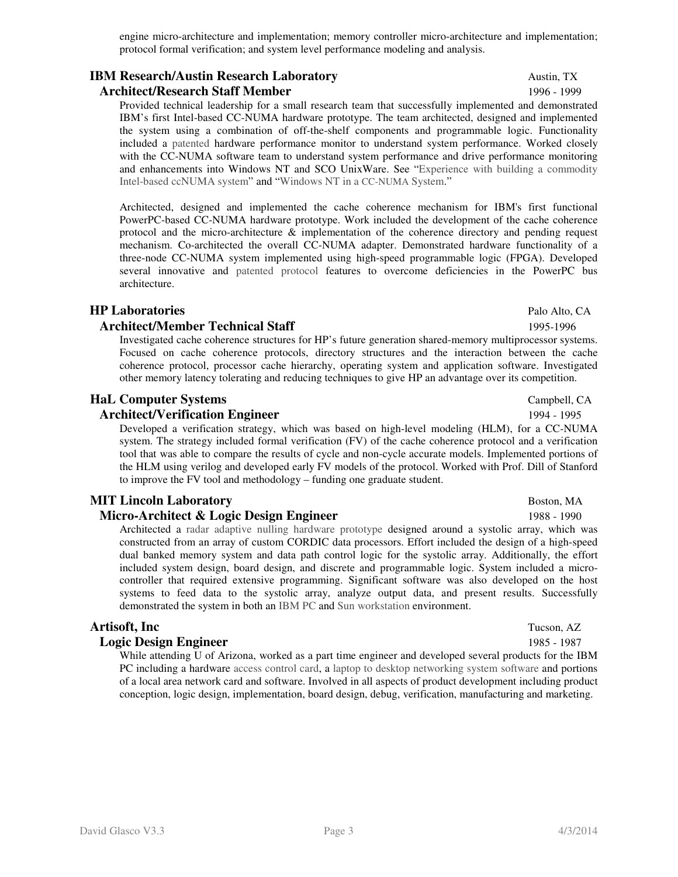engine micro-architecture and implementation; memory controller micro-architecture and implementation; protocol formal verification; and system level performance modeling and analysis.

# **IBM Research/Austin Research Laboratory Austin**, TX

**Architect/Research Staff Member** 1996 - 1999

Provided technical leadership for a small research team that successfully implemented and demonstrated IBM's first Intel-based CC-NUMA hardware prototype. The team architected, designed and implemented the system using a combination of off-the-shelf components and programmable logic. Functionality included a patented hardware performance monitor to understand system performance. Worked closely with the CC-NUMA software team to understand system performance and drive performance monitoring and enhancements into Windows NT and SCO UnixWare. See "Experience with building a commodity Intel-based ccNUMA system" and "Windows NT in a CC-NUMA System."

Architected, designed and implemented the cache coherence mechanism for IBM's first functional PowerPC-based CC-NUMA hardware prototype. Work included the development of the cache coherence protocol and the micro-architecture  $\&$  implementation of the coherence directory and pending request mechanism. Co-architected the overall CC-NUMA adapter. Demonstrated hardware functionality of a three-node CC-NUMA system implemented using high-speed programmable logic (FPGA). Developed several innovative and patented protocol features to overcome deficiencies in the PowerPC bus architecture.

### **HP Laboratories** Palo Alto, CA

#### **Architect/Member Technical Staff** 1995-1996

Investigated cache coherence structures for HP's future generation shared-memory multiprocessor systems. Focused on cache coherence protocols, directory structures and the interaction between the cache coherence protocol, processor cache hierarchy, operating system and application software. Investigated other memory latency tolerating and reducing techniques to give HP an advantage over its competition.

### **HaL Computer Systems**  $\qquad \qquad$  Campbell, CA

#### **Architect/Verification Engineer** 1994 - 1995

Developed a verification strategy, which was based on high-level modeling (HLM), for a CC-NUMA system. The strategy included formal verification (FV) of the cache coherence protocol and a verification tool that was able to compare the results of cycle and non-cycle accurate models. Implemented portions of the HLM using verilog and developed early FV models of the protocol. Worked with Prof. Dill of Stanford to improve the FV tool and methodology – funding one graduate student.

### **MIT Lincoln Laboratory Boston, MA**

### **Micro-Architect & Logic Design Engineer** 1988 - 1990

Architected a radar adaptive nulling hardware prototype designed around a systolic array, which was constructed from an array of custom CORDIC data processors. Effort included the design of a high-speed dual banked memory system and data path control logic for the systolic array. Additionally, the effort included system design, board design, and discrete and programmable logic. System included a microcontroller that required extensive programming. Significant software was also developed on the host systems to feed data to the systolic array, analyze output data, and present results. Successfully demonstrated the system in both an IBM PC and Sun workstation environment.

### **Artisoft, Inc** Tucson, AZ

### **Logic Design Engineer** 1985 - 1987

While attending U of Arizona, worked as a part time engineer and developed several products for the IBM PC including a hardware access control card, a laptop to desktop networking system software and portions of a local area network card and software. Involved in all aspects of product development including product conception, logic design, implementation, board design, debug, verification, manufacturing and marketing.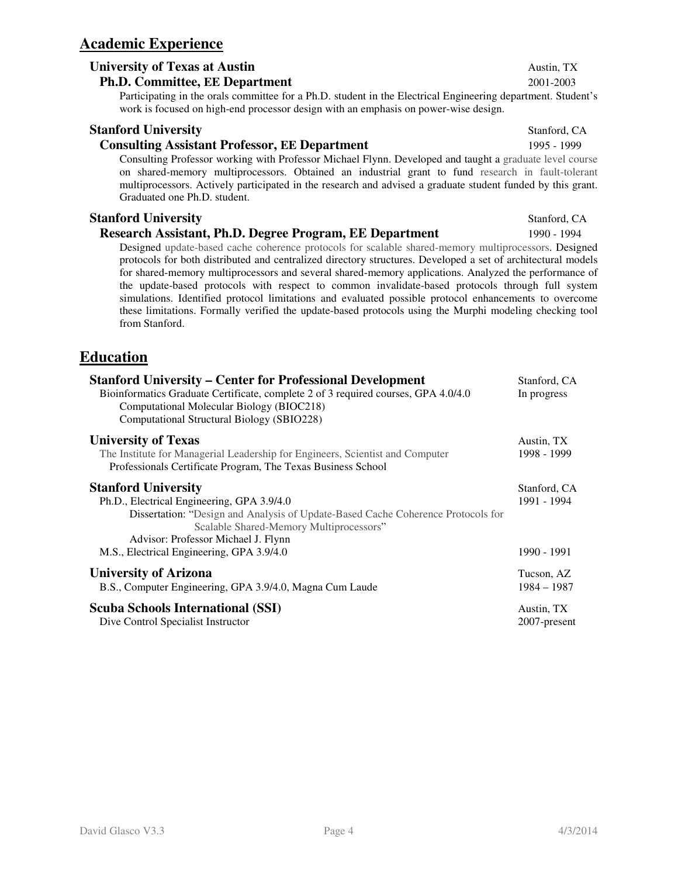# **Academic Experience**

### **University of Texas at Austin**  $\overline{TX}$

#### **Ph.D. Committee, EE Department** 2001-2003

Participating in the orals committee for a Ph.D. student in the Electrical Engineering department. Student's work is focused on high-end processor design with an emphasis on power-wise design.

#### **Stanford University Stanford University Stanford, CA**

#### **Consulting Assistant Professor, EE Department** 1995 - 1999

Consulting Professor working with Professor Michael Flynn. Developed and taught a graduate level course on shared-memory multiprocessors. Obtained an industrial grant to fund research in fault-tolerant multiprocessors. Actively participated in the research and advised a graduate student funded by this grant. Graduated one Ph.D. student.

#### **Stanford University** Stanford, CA

#### **Research Assistant, Ph.D. Degree Program, EE Department** 1990 - 1994

Designed update-based cache coherence protocols for scalable shared-memory multiprocessors. Designed protocols for both distributed and centralized directory structures. Developed a set of architectural models for shared-memory multiprocessors and several shared-memory applications. Analyzed the performance of the update-based protocols with respect to common invalidate-based protocols through full system simulations. Identified protocol limitations and evaluated possible protocol enhancements to overcome these limitations. Formally verified the update-based protocols using the Murphi modeling checking tool from Stanford.

## **Education**

| <b>Stanford University – Center for Professional Development</b><br>Bioinformatics Graduate Certificate, complete 2 of 3 required courses, GPA 4.0/4.0<br>Computational Molecular Biology (BIOC218)<br>Computational Structural Biology (SBIO228)                                           | Stanford, CA<br>In progress |
|---------------------------------------------------------------------------------------------------------------------------------------------------------------------------------------------------------------------------------------------------------------------------------------------|-----------------------------|
| <b>University of Texas</b><br>The Institute for Managerial Leadership for Engineers, Scientist and Computer<br>Professionals Certificate Program, The Texas Business School                                                                                                                 | Austin, TX<br>1998 - 1999   |
| <b>Stanford University</b><br>Ph.D., Electrical Engineering, GPA 3.9/4.0<br>Dissertation: "Design and Analysis of Update-Based Cache Coherence Protocols for<br>Scalable Shared-Memory Multiprocessors"<br>Advisor: Professor Michael J. Flynn<br>M.S., Electrical Engineering, GPA 3.9/4.0 |                             |
| <b>University of Arizona</b><br>B.S., Computer Engineering, GPA 3.9/4.0, Magna Cum Laude                                                                                                                                                                                                    |                             |
| <b>Scuba Schools International (SSI)</b><br>Dive Control Specialist Instructor                                                                                                                                                                                                              | Austin, TX<br>2007-present  |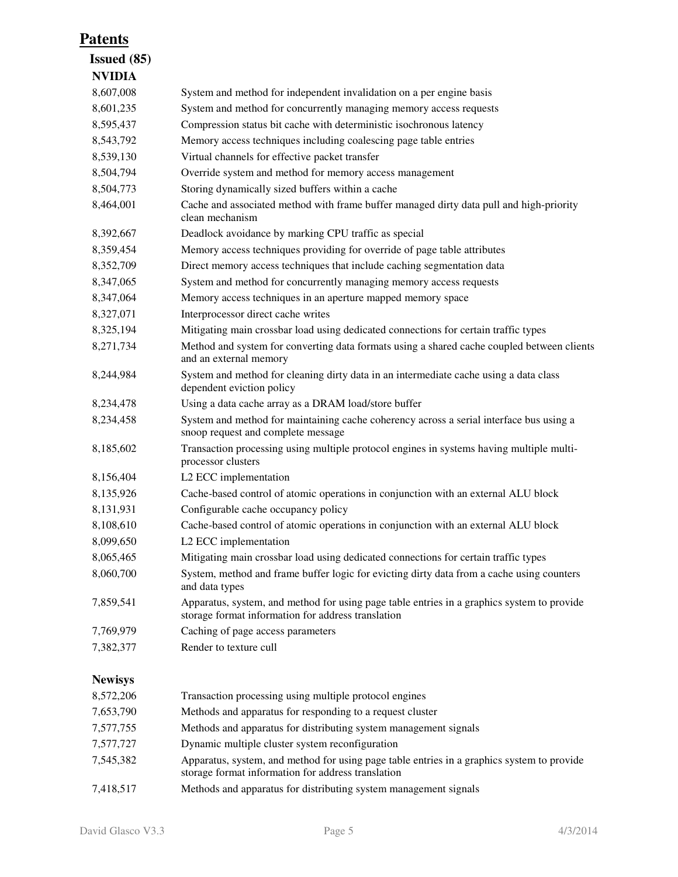# **Patents**

| <b>Issued</b> (85) |                                                                                                                                                  |
|--------------------|--------------------------------------------------------------------------------------------------------------------------------------------------|
| <b>NVIDIA</b>      |                                                                                                                                                  |
| 8,607,008          | System and method for independent invalidation on a per engine basis                                                                             |
| 8,601,235          | System and method for concurrently managing memory access requests                                                                               |
| 8,595,437          | Compression status bit cache with deterministic isochronous latency                                                                              |
| 8,543,792          | Memory access techniques including coalescing page table entries                                                                                 |
| 8,539,130          | Virtual channels for effective packet transfer                                                                                                   |
| 8,504,794          | Override system and method for memory access management                                                                                          |
| 8,504,773          | Storing dynamically sized buffers within a cache                                                                                                 |
| 8,464,001          | Cache and associated method with frame buffer managed dirty data pull and high-priority<br>clean mechanism                                       |
| 8,392,667          | Deadlock avoidance by marking CPU traffic as special                                                                                             |
| 8,359,454          | Memory access techniques providing for override of page table attributes                                                                         |
| 8,352,709          | Direct memory access techniques that include caching segmentation data                                                                           |
| 8,347,065          | System and method for concurrently managing memory access requests                                                                               |
| 8,347,064          | Memory access techniques in an aperture mapped memory space                                                                                      |
| 8,327,071          | Interprocessor direct cache writes                                                                                                               |
| 8,325,194          | Mitigating main crossbar load using dedicated connections for certain traffic types                                                              |
| 8,271,734          | Method and system for converting data formats using a shared cache coupled between clients<br>and an external memory                             |
| 8,244,984          | System and method for cleaning dirty data in an intermediate cache using a data class<br>dependent eviction policy                               |
| 8,234,478          | Using a data cache array as a DRAM load/store buffer                                                                                             |
| 8,234,458          | System and method for maintaining cache coherency across a serial interface bus using a<br>snoop request and complete message                    |
| 8,185,602          | Transaction processing using multiple protocol engines in systems having multiple multi-<br>processor clusters                                   |
| 8,156,404          | L2 ECC implementation                                                                                                                            |
| 8,135,926          | Cache-based control of atomic operations in conjunction with an external ALU block                                                               |
| 8,131,931          | Configurable cache occupancy policy                                                                                                              |
| 8,108,610          | Cache-based control of atomic operations in conjunction with an external ALU block                                                               |
| 8,099,650          | L2 ECC implementation                                                                                                                            |
| 8,065,465          | Mitigating main crossbar load using dedicated connections for certain traffic types                                                              |
| 8,060,700          | System, method and frame buffer logic for evicting dirty data from a cache using counters<br>and data types                                      |
| 7,859,541          | Apparatus, system, and method for using page table entries in a graphics system to provide<br>storage format information for address translation |
| 7,769,979          | Caching of page access parameters                                                                                                                |
| 7,382,377          | Render to texture cull                                                                                                                           |
| <b>Newisys</b>     |                                                                                                                                                  |
| 8,572,206          | Transaction processing using multiple protocol engines                                                                                           |
| 7,653,790          | Methods and apparatus for responding to a request cluster                                                                                        |
| 7,577,755          | Methods and apparatus for distributing system management signals                                                                                 |
| 7,577,727          | Dynamic multiple cluster system reconfiguration                                                                                                  |
| 7,545,382          | Apparatus, system, and method for using page table entries in a graphics system to provide<br>storage format information for address translation |

7,418,517 Methods and apparatus for distributing system management signals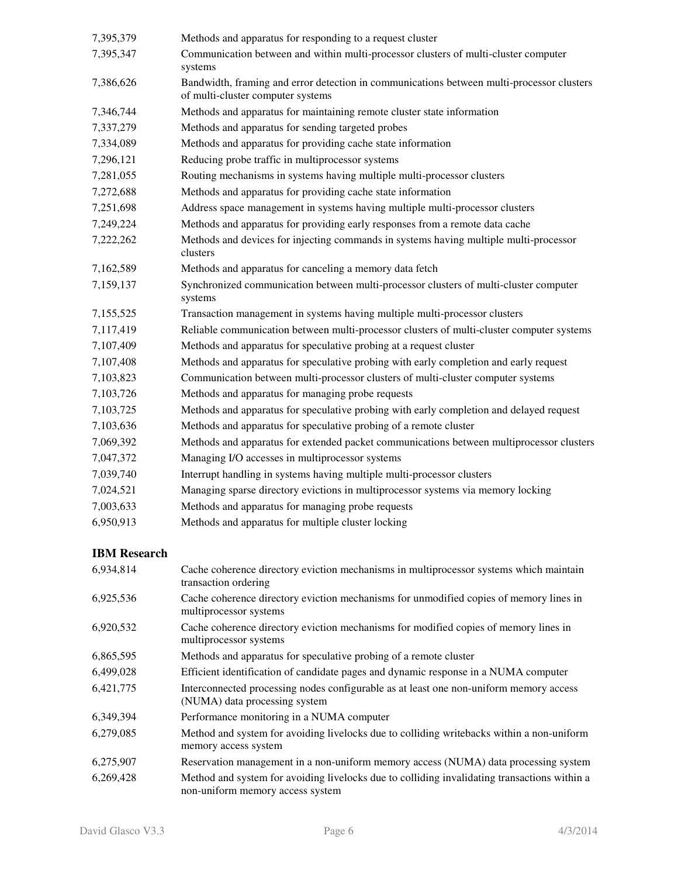| 7,395,379           | Methods and apparatus for responding to a request cluster                                                                      |
|---------------------|--------------------------------------------------------------------------------------------------------------------------------|
| 7,395,347           | Communication between and within multi-processor clusters of multi-cluster computer<br>systems                                 |
| 7,386,626           | Bandwidth, framing and error detection in communications between multi-processor clusters<br>of multi-cluster computer systems |
| 7,346,744           | Methods and apparatus for maintaining remote cluster state information                                                         |
| 7,337,279           | Methods and apparatus for sending targeted probes                                                                              |
| 7,334,089           | Methods and apparatus for providing cache state information                                                                    |
| 7,296,121           | Reducing probe traffic in multiprocessor systems                                                                               |
| 7,281,055           | Routing mechanisms in systems having multiple multi-processor clusters                                                         |
| 7,272,688           | Methods and apparatus for providing cache state information                                                                    |
| 7,251,698           | Address space management in systems having multiple multi-processor clusters                                                   |
| 7,249,224           | Methods and apparatus for providing early responses from a remote data cache                                                   |
| 7,222,262           | Methods and devices for injecting commands in systems having multiple multi-processor<br>clusters                              |
| 7,162,589           | Methods and apparatus for canceling a memory data fetch                                                                        |
| 7,159,137           | Synchronized communication between multi-processor clusters of multi-cluster computer<br>systems                               |
| 7,155,525           | Transaction management in systems having multiple multi-processor clusters                                                     |
| 7,117,419           | Reliable communication between multi-processor clusters of multi-cluster computer systems                                      |
| 7,107,409           | Methods and apparatus for speculative probing at a request cluster                                                             |
| 7,107,408           | Methods and apparatus for speculative probing with early completion and early request                                          |
| 7,103,823           | Communication between multi-processor clusters of multi-cluster computer systems                                               |
| 7,103,726           | Methods and apparatus for managing probe requests                                                                              |
| 7,103,725           | Methods and apparatus for speculative probing with early completion and delayed request                                        |
| 7,103,636           | Methods and apparatus for speculative probing of a remote cluster                                                              |
| 7,069,392           | Methods and apparatus for extended packet communications between multiprocessor clusters                                       |
| 7,047,372           | Managing I/O accesses in multiprocessor systems                                                                                |
| 7,039,740           | Interrupt handling in systems having multiple multi-processor clusters                                                         |
| 7,024,521           | Managing sparse directory evictions in multiprocessor systems via memory locking                                               |
| 7,003,633           | Methods and apparatus for managing probe requests                                                                              |
| 6,950,913           | Methods and apparatus for multiple cluster locking                                                                             |
| <b>IBM Research</b> |                                                                                                                                |
| 6,934,814           | Cache coherence directory eviction mechanisms in multiprocessor systems which maintain<br>transaction ordering                 |
| 6,925,536           | Cache coherence directory eviction mechanisms for unmodified copies of memory lines in<br>multiprocessor systems               |
| 6,920,532           | Cache coherence directory eviction mechanisms for modified copies of memory lines in<br>multiprocessor systems                 |

- 6,865,595 Methods and apparatus for speculative probing of a remote cluster
- 6,499,028 Efficient identification of candidate pages and dynamic response in a NUMA computer
- 6,421,775 Interconnected processing nodes configurable as at least one non-uniform memory access (NUMA) data processing system
- 6,349,394 Performance monitoring in a NUMA computer
- 6,279,085 Method and system for avoiding livelocks due to colliding writebacks within a non-uniform memory access system
- 6,275,907 Reservation management in a non-uniform memory access (NUMA) data processing system 6,269,428 Method and system for avoiding livelocks due to colliding invalidating transactions within a non-uniform memory access system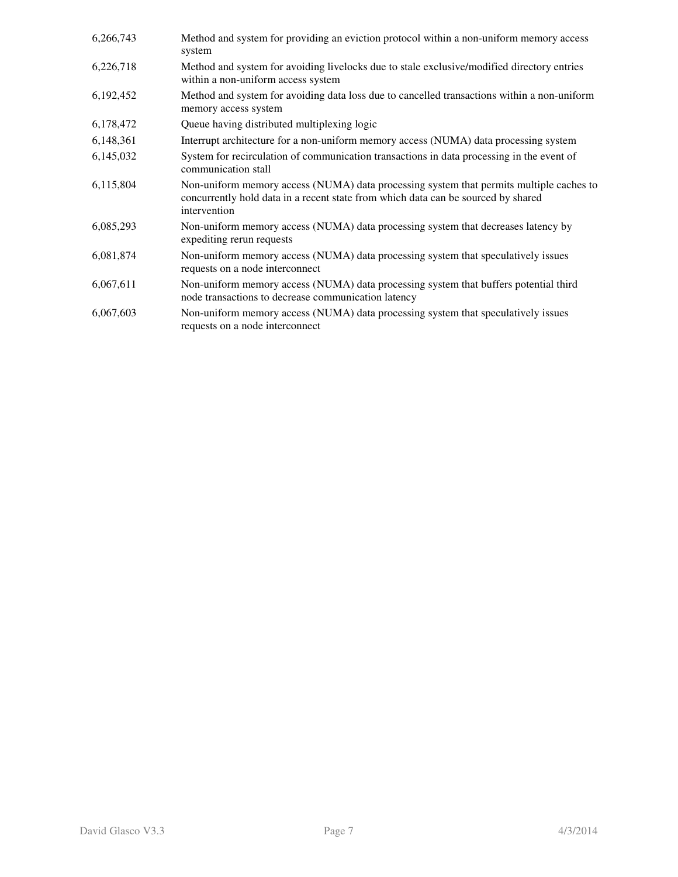| 6,266,743 | Method and system for providing an eviction protocol within a non-uniform memory access<br>system                                                                                            |
|-----------|----------------------------------------------------------------------------------------------------------------------------------------------------------------------------------------------|
| 6,226,718 | Method and system for avoiding livelocks due to stale exclusive/modified directory entries<br>within a non-uniform access system                                                             |
| 6,192,452 | Method and system for avoiding data loss due to cancelled transactions within a non-uniform<br>memory access system                                                                          |
| 6,178,472 | Queue having distributed multiplexing logic                                                                                                                                                  |
| 6,148,361 | Interrupt architecture for a non-uniform memory access (NUMA) data processing system                                                                                                         |
| 6,145,032 | System for recirculation of communication transactions in data processing in the event of<br>communication stall                                                                             |
| 6,115,804 | Non-uniform memory access (NUMA) data processing system that permits multiple caches to<br>concurrently hold data in a recent state from which data can be sourced by shared<br>intervention |
| 6,085,293 | Non-uniform memory access (NUMA) data processing system that decreases latency by<br>expediting rerun requests                                                                               |
| 6,081,874 | Non-uniform memory access (NUMA) data processing system that speculatively issues<br>requests on a node interconnect                                                                         |
| 6,067,611 | Non-uniform memory access (NUMA) data processing system that buffers potential third<br>node transactions to decrease communication latency                                                  |
| 6,067,603 | Non-uniform memory access (NUMA) data processing system that speculatively issues<br>requests on a node interconnect                                                                         |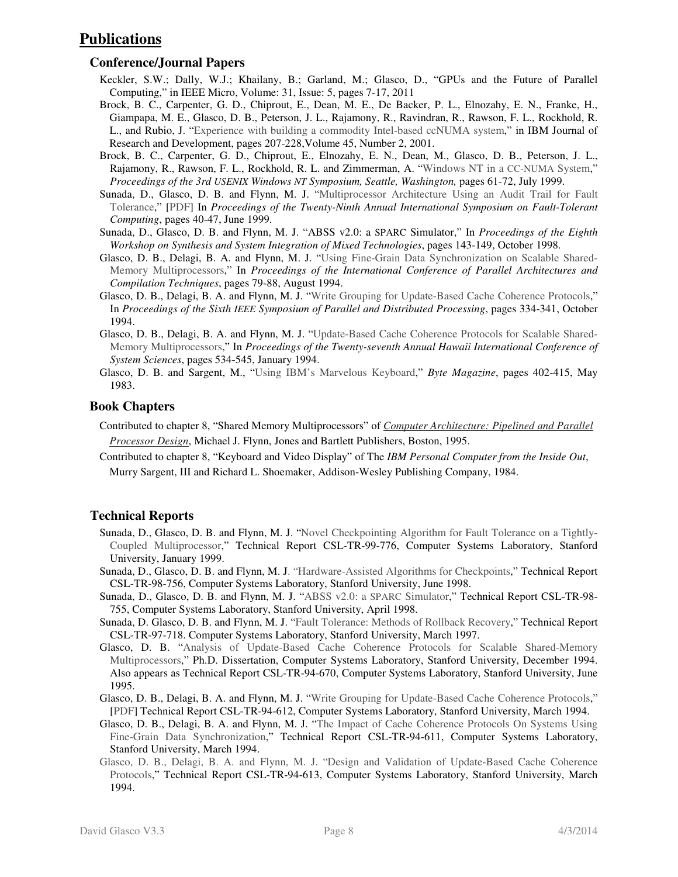# **Publications**

#### **Conference/Journal Papers**

- Keckler, S.W.; Dally, W.J.; Khailany, B.; Garland, M.; Glasco, D., "GPUs and the Future of Parallel Computing," in IEEE Micro, Volume: 31, Issue: 5, pages 7-17, 2011
- Brock, B. C., Carpenter, G. D., Chiprout, E., Dean, M. E., De Backer, P. L., Elnozahy, E. N., Franke, H., Giampapa, M. E., Glasco, D. B., Peterson, J. L., Rajamony, R., Ravindran, R., Rawson, F. L., Rockhold, R. L., and Rubio, J. "Experience with building a commodity Intel-based ccNUMA system," in IBM Journal of Research and Development, pages 207-228,Volume 45, Number 2, 2001.
- Brock, B. C., Carpenter, G. D., Chiprout, E., Elnozahy, E. N., Dean, M., Glasco, D. B., Peterson, J. L., Rajamony, R., Rawson, F. L., Rockhold, R. L. and Zimmerman, A. "Windows NT in a CC-NUMA System," *Proceedings of the 3rd USENIX Windows NT Symposium, Seattle, Washington,* pages 61-72, July 1999.
- Sunada, D., Glasco, D. B. and Flynn, M. J. "Multiprocessor Architecture Using an Audit Trail for Fault Tolerance," [PDF] In *Proceedings of the Twenty-Ninth Annual International Symposium on Fault-Tolerant Computing*, pages 40-47, June 1999.
- Sunada, D., Glasco, D. B. and Flynn, M. J. "ABSS v2.0: a SPARC Simulator," In *Proceedings of the Eighth Workshop on Synthesis and System Integration of Mixed Technologies*, pages 143-149, October 1998.
- Glasco, D. B., Delagi, B. A. and Flynn, M. J. "Using Fine-Grain Data Synchronization on Scalable Shared-Memory Multiprocessors," In *Proceedings of the International Conference of Parallel Architectures and Compilation Techniques*, pages 79-88, August 1994.
- Glasco, D. B., Delagi, B. A. and Flynn, M. J. "Write Grouping for Update-Based Cache Coherence Protocols," In *Proceedings of the Sixth IEEE Symposium of Parallel and Distributed Processing*, pages 334-341, October 1994.
- Glasco, D. B., Delagi, B. A. and Flynn, M. J. "Update-Based Cache Coherence Protocols for Scalable Shared-Memory Multiprocessors," In *Proceedings of the Twenty-seventh Annual Hawaii International Conference of System Sciences*, pages 534-545, January 1994.
- Glasco, D. B. and Sargent, M., "Using IBM's Marvelous Keyboard," *Byte Magazine*, pages 402-415, May 1983.

#### **Book Chapters**

- Contributed to chapter 8, "Shared Memory Multiprocessors" of *Computer Architecture: Pipelined and Parallel Processor Design*, Michael J. Flynn, Jones and Bartlett Publishers, Boston, 1995.
- Contributed to chapter 8, "Keyboard and Video Display" of The *IBM Personal Computer from the Inside Out*, Murry Sargent, III and Richard L. Shoemaker, Addison-Wesley Publishing Company, 1984.

### **Technical Reports**

- Sunada, D., Glasco, D. B. and Flynn, M. J. "Novel Checkpointing Algorithm for Fault Tolerance on a Tightly-Coupled Multiprocessor," Technical Report CSL-TR-99-776, Computer Systems Laboratory, Stanford University, January 1999.
- Sunada, D., Glasco, D. B. and Flynn, M. J. "Hardware-Assisted Algorithms for Checkpoints," Technical Report CSL-TR-98-756, Computer Systems Laboratory, Stanford University, June 1998.
- Sunada, D., Glasco, D. B. and Flynn, M. J. "ABSS v2.0: a SPARC Simulator," Technical Report CSL-TR-98- 755, Computer Systems Laboratory, Stanford University, April 1998.
- Sunada, D. Glasco, D. B. and Flynn, M. J. "Fault Tolerance: Methods of Rollback Recovery," Technical Report CSL-TR-97-718. Computer Systems Laboratory, Stanford University, March 1997.
- Glasco, D. B. "Analysis of Update-Based Cache Coherence Protocols for Scalable Shared-Memory Multiprocessors," Ph.D. Dissertation, Computer Systems Laboratory, Stanford University, December 1994. Also appears as Technical Report CSL-TR-94-670, Computer Systems Laboratory, Stanford University, June 1995.
- Glasco, D. B., Delagi, B. A. and Flynn, M. J. "Write Grouping for Update-Based Cache Coherence Protocols," [PDF] Technical Report CSL-TR-94-612, Computer Systems Laboratory, Stanford University, March 1994.
- Glasco, D. B., Delagi, B. A. and Flynn, M. J. "The Impact of Cache Coherence Protocols On Systems Using Fine-Grain Data Synchronization," Technical Report CSL-TR-94-611, Computer Systems Laboratory, Stanford University, March 1994.
- Glasco, D. B., Delagi, B. A. and Flynn, M. J. "Design and Validation of Update-Based Cache Coherence Protocols," Technical Report CSL-TR-94-613, Computer Systems Laboratory, Stanford University, March 1994.